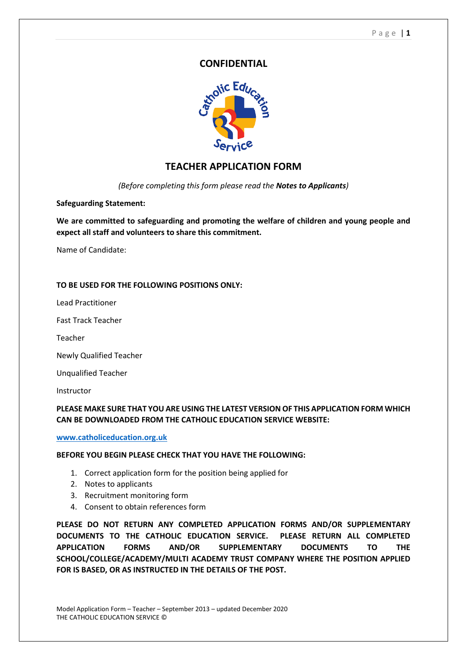## **CONFIDENTIAL**



# **TEACHER APPLICATION FORM**

*(Before completing this form please read the Notes to Applicants)*

#### **Safeguarding Statement:**

**We are committed to safeguarding and promoting the welfare of children and young people and expect all staff and volunteers to share this commitment.**

Name of Candidate:

#### **TO BE USED FOR THE FOLLOWING POSITIONS ONLY:**

Lead Practitioner

Fast Track Teacher

Teacher

Newly Qualified Teacher

Unqualified Teacher

Instructor

### **PLEASE MAKE SURE THAT YOU ARE USING THE LATEST VERSION OF THIS APPLICATION FORM WHICH CAN BE DOWNLOADED FROM THE CATHOLIC EDUCATION SERVICE WEBSITE:**

**[www.catholiceducation.org.uk](http://www.catholiceducation.org.uk/)**

#### **BEFORE YOU BEGIN PLEASE CHECK THAT YOU HAVE THE FOLLOWING:**

- 1. Correct application form for the position being applied for
- 2. Notes to applicants
- 3. Recruitment monitoring form
- 4. Consent to obtain references form

**PLEASE DO NOT RETURN ANY COMPLETED APPLICATION FORMS AND/OR SUPPLEMENTARY DOCUMENTS TO THE CATHOLIC EDUCATION SERVICE. PLEASE RETURN ALL COMPLETED APPLICATION FORMS AND/OR SUPPLEMENTARY DOCUMENTS TO THE SCHOOL/COLLEGE/ACADEMY/MULTI ACADEMY TRUST COMPANY WHERE THE POSITION APPLIED FOR IS BASED, OR AS INSTRUCTED IN THE DETAILS OF THE POST.**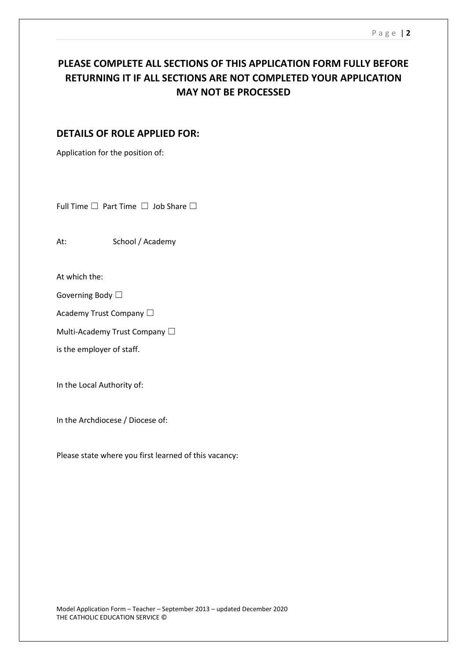# **PLEASE COMPLETE ALL SECTIONS OF THIS APPLICATION FORM FULLY BEFORE RETURNING IT IF ALL SECTIONS ARE NOT COMPLETED YOUR APPLICATION MAY NOT BE PROCESSED**

# **DETAILS OF ROLE APPLIED FOR:**

Application for the position of:

Full Time □ Part Time □ Job Share □

At: School / Academy

At which the:

Governing Body □

Academy Trust Company □

Multi-Academy Trust Company □

is the employer of staff.

In the Local Authority of:

In the Archdiocese / Diocese of:

Please state where you first learned of this vacancy: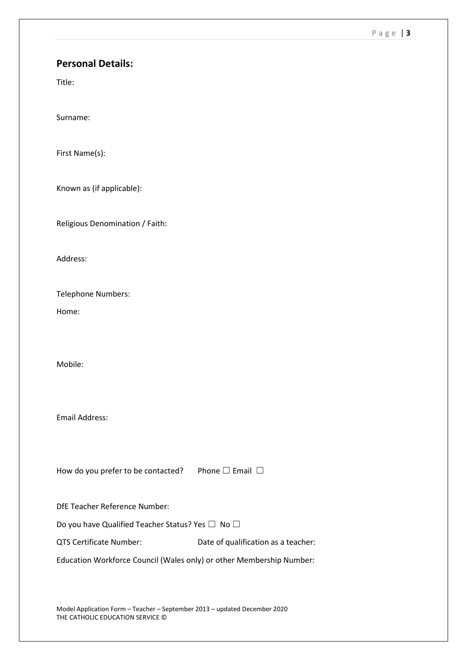#### P a g e | **3**

# **Personal Details:**

Title:

Surname:

First Name(s):

Known as (if applicable):

Religious Denomination / Faith:

Address:

Telephone Numbers:

Home:

Mobile:

Email Address:

How do you prefer to be contacted? Phone  $\Box$  Email  $\Box$ 

DfE Teacher Reference Number:

Do you have Qualified Teacher Status? Yes □ No □

QTS Certificate Number: Date of qualification as a teacher:

Education Workforce Council (Wales only) or other Membership Number: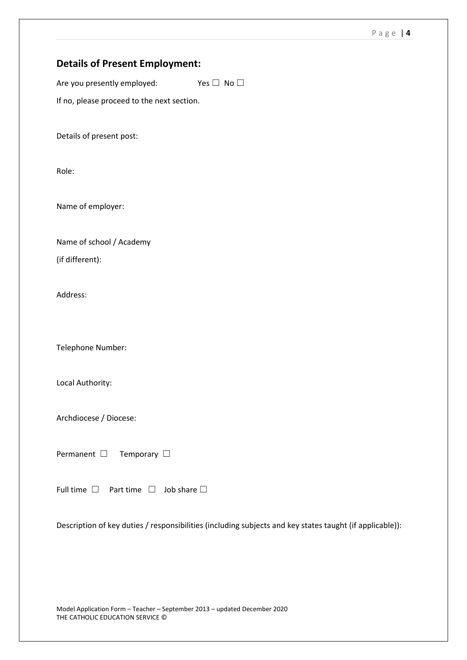# **Details of Present Employment:**

Are you presently employed: Yes  $\Box$  No  $\Box$ 

If no, please proceed to the next section.

Details of present post:

Role:

Name of employer:

Name of school / Academy (if different):

Address:

Telephone Number:

Local Authority:

Archdiocese / Diocese:

Permanent □ Temporary □

Full time  $□$  Part time  $□$  Job share  $□$ 

Description of key duties / responsibilities (including subjects and key states taught (if applicable)):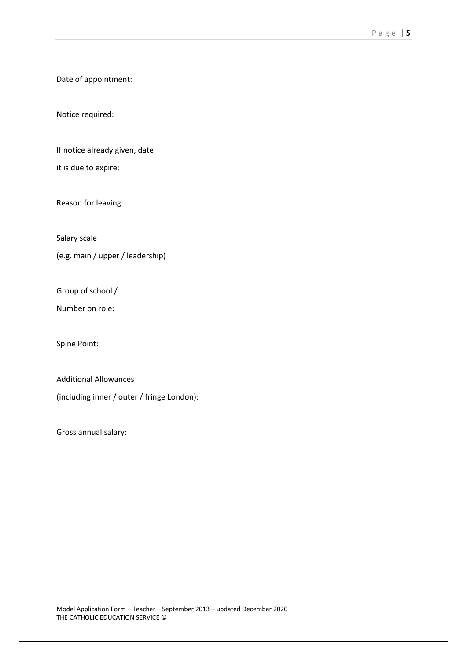#### P a g e | **5**

Date of appointment:

Notice required:

If notice already given, date

it is due to expire:

Reason for leaving:

Salary scale

(e.g. main / upper / leadership)

Group of school /

Number on role:

Spine Point:

Additional Allowances (including inner / outer / fringe London):

Gross annual salary: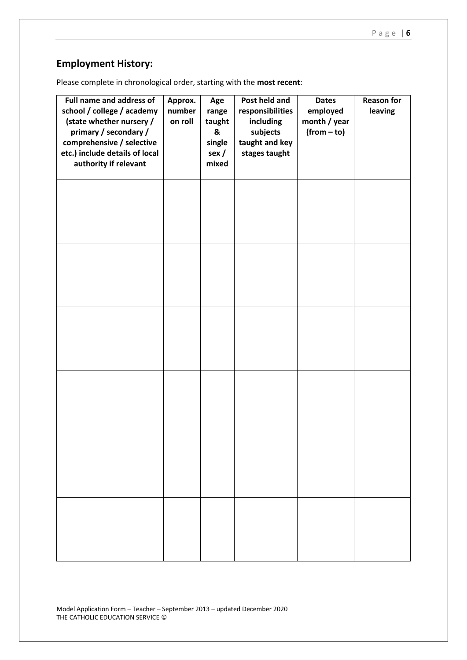# **Employment History:**

Please complete in chronological order, starting with the **most recent**:

| Full name and address of<br>school / college / academy<br>(state whether nursery /<br>primary / secondary /<br>comprehensive / selective<br>etc.) include details of local<br>authority if relevant | Approx.<br>number<br>on roll | Age<br>range<br>taught<br>&<br>single<br>sex/<br>mixed | Post held and<br>responsibilities<br>including<br>subjects<br>taught and key<br>stages taught | <b>Dates</b><br>employed<br>month / year<br>$(from - to)$ | <b>Reason for</b><br>leaving |
|-----------------------------------------------------------------------------------------------------------------------------------------------------------------------------------------------------|------------------------------|--------------------------------------------------------|-----------------------------------------------------------------------------------------------|-----------------------------------------------------------|------------------------------|
|                                                                                                                                                                                                     |                              |                                                        |                                                                                               |                                                           |                              |
|                                                                                                                                                                                                     |                              |                                                        |                                                                                               |                                                           |                              |
|                                                                                                                                                                                                     |                              |                                                        |                                                                                               |                                                           |                              |
|                                                                                                                                                                                                     |                              |                                                        |                                                                                               |                                                           |                              |
|                                                                                                                                                                                                     |                              |                                                        |                                                                                               |                                                           |                              |
|                                                                                                                                                                                                     |                              |                                                        |                                                                                               |                                                           |                              |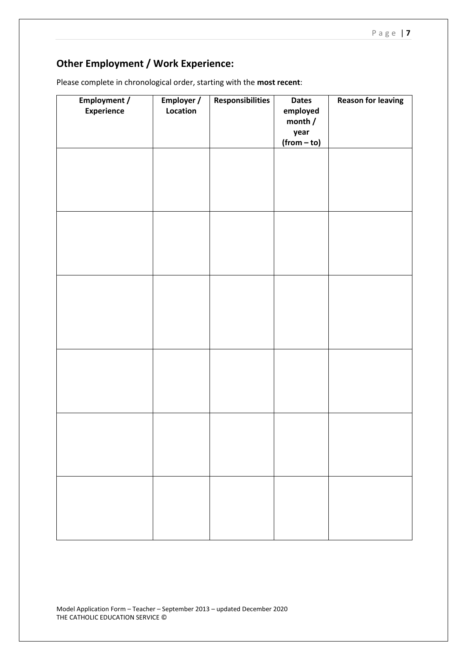# **Other Employment / Work Experience:**

| Please complete in chronological order, starting with the most recent: |  |  |  |
|------------------------------------------------------------------------|--|--|--|
|------------------------------------------------------------------------|--|--|--|

| <b>Employment /</b><br><b>Experience</b> | Employer /<br>Location | <b>Responsibilities</b> | <b>Dates</b><br>employed<br>month /<br>year<br>$(from - to)$ | <b>Reason for leaving</b> |
|------------------------------------------|------------------------|-------------------------|--------------------------------------------------------------|---------------------------|
|                                          |                        |                         |                                                              |                           |
|                                          |                        |                         |                                                              |                           |
|                                          |                        |                         |                                                              |                           |
|                                          |                        |                         |                                                              |                           |
|                                          |                        |                         |                                                              |                           |
|                                          |                        |                         |                                                              |                           |
|                                          |                        |                         |                                                              |                           |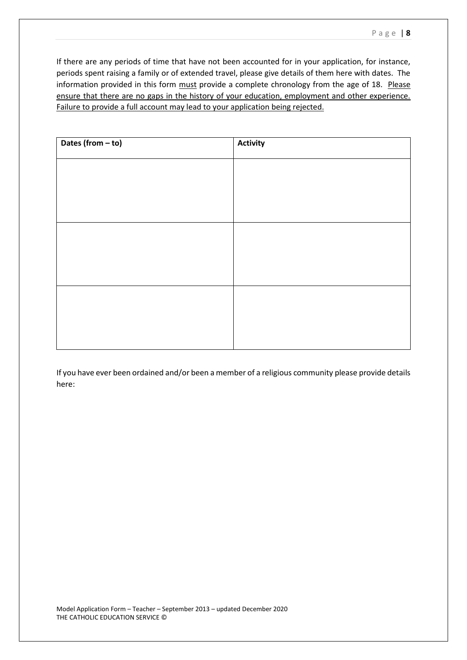If there are any periods of time that have not been accounted for in your application, for instance, periods spent raising a family or of extended travel, please give details of them here with dates. The information provided in this form must provide a complete chronology from the age of 18. Please ensure that there are no gaps in the history of your education, employment and other experience. Failure to provide a full account may lead to your application being rejected.

| Dates (from - to) | <b>Activity</b> |
|-------------------|-----------------|
|                   |                 |
|                   |                 |
|                   |                 |
|                   |                 |
|                   |                 |
|                   |                 |
|                   |                 |
|                   |                 |
|                   |                 |

If you have ever been ordained and/or been a member of a religious community please provide details here: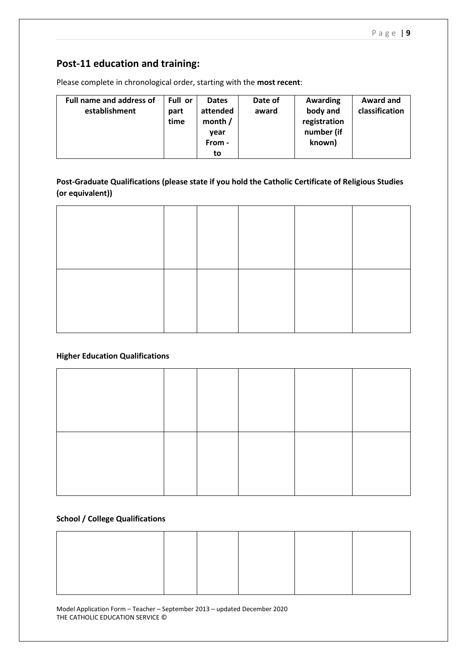# **Post-11 education and training:**

Please complete in chronological order, starting with the **most recent**:

| <b>Full name and address of</b> | Full or | <b>Dates</b> | Date of | Awarding     | Award and      |
|---------------------------------|---------|--------------|---------|--------------|----------------|
| establishment                   | part    | attended     | award   | body and     | classification |
|                                 | time    | month $/$    |         | registration |                |
|                                 |         | year         |         | number (if   |                |
|                                 |         | From -       |         | known)       |                |
|                                 |         | to           |         |              |                |

**Post-Graduate Qualifications (please state if you hold the Catholic Certificate of Religious Studies (or equivalent))**

### **Higher Education Qualifications**

#### **School / College Qualifications**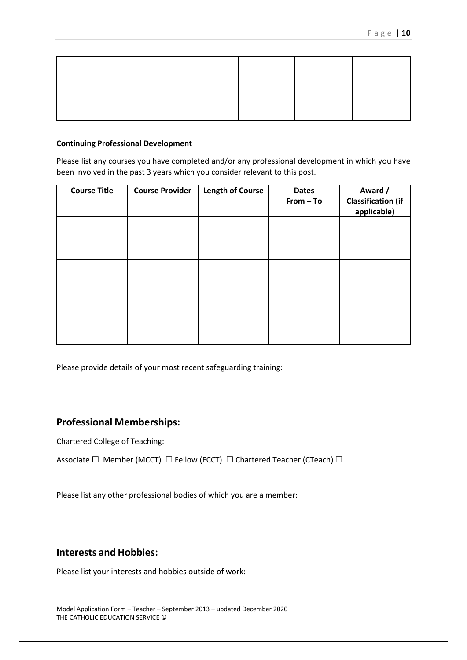#### **Continuing Professional Development**

Please list any courses you have completed and/or any professional development in which you have been involved in the past 3 years which you consider relevant to this post.

| <b>Course Title</b> | <b>Course Provider</b> | <b>Length of Course</b> | <b>Dates</b><br>From - To | Award /<br><b>Classification (if</b><br>applicable) |
|---------------------|------------------------|-------------------------|---------------------------|-----------------------------------------------------|
|                     |                        |                         |                           |                                                     |
|                     |                        |                         |                           |                                                     |
|                     |                        |                         |                           |                                                     |
|                     |                        |                         |                           |                                                     |

Please provide details of your most recent safeguarding training:

# **Professional Memberships:**

Chartered College of Teaching:

Associate □ Member (MCCT) □ Fellow (FCCT) □ Chartered Teacher (CTeach) □

Please list any other professional bodies of which you are a member:

### **Interests and Hobbies:**

Please list your interests and hobbies outside of work: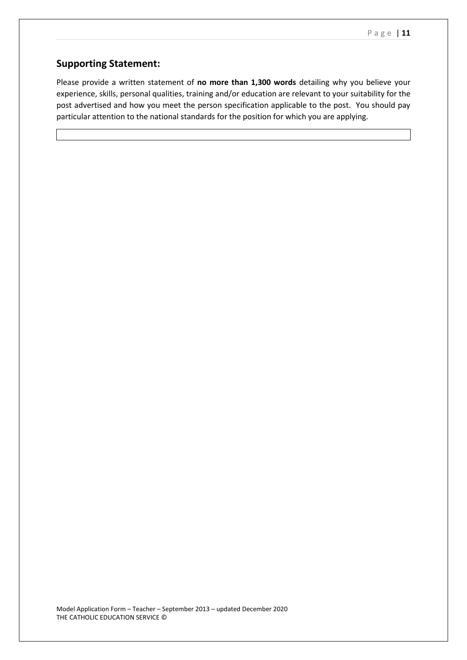# **Supporting Statement:**

Please provide a written statement of **no more than 1,300 words** detailing why you believe your experience, skills, personal qualities, training and/or education are relevant to your suitability for the post advertised and how you meet the person specification applicable to the post. You should pay particular attention to the national standards for the position for which you are applying.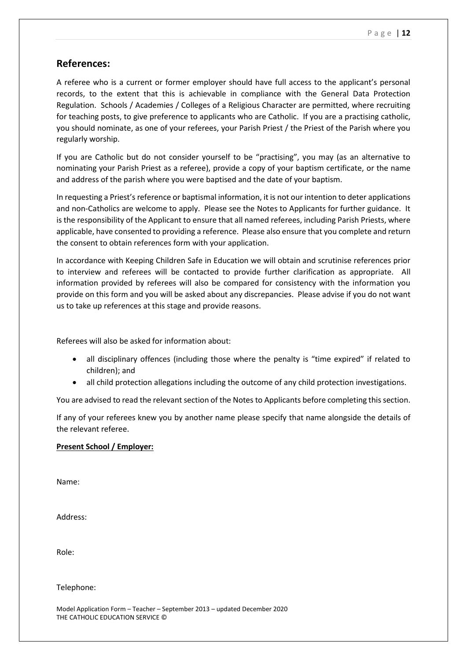## **References:**

A referee who is a current or former employer should have full access to the applicant's personal records, to the extent that this is achievable in compliance with the General Data Protection Regulation. Schools / Academies / Colleges of a Religious Character are permitted, where recruiting for teaching posts, to give preference to applicants who are Catholic. If you are a practising catholic, you should nominate, as one of your referees, your Parish Priest / the Priest of the Parish where you regularly worship.

If you are Catholic but do not consider yourself to be "practising", you may (as an alternative to nominating your Parish Priest as a referee), provide a copy of your baptism certificate, or the name and address of the parish where you were baptised and the date of your baptism.

In requesting a Priest's reference or baptismal information, it is not our intention to deter applications and non-Catholics are welcome to apply. Please see the Notes to Applicants for further guidance. It is the responsibility of the Applicant to ensure that all named referees, including Parish Priests, where applicable, have consented to providing a reference. Please also ensure that you complete and return the consent to obtain references form with your application.

In accordance with Keeping Children Safe in Education we will obtain and scrutinise references prior to interview and referees will be contacted to provide further clarification as appropriate. All information provided by referees will also be compared for consistency with the information you provide on this form and you will be asked about any discrepancies. Please advise if you do not want us to take up references at this stage and provide reasons.

Referees will also be asked for information about:

- all disciplinary offences (including those where the penalty is "time expired" if related to children); and
- all child protection allegations including the outcome of any child protection investigations.

You are advised to read the relevant section of the Notes to Applicants before completing this section.

If any of your referees knew you by another name please specify that name alongside the details of the relevant referee.

#### **Present School / Employer:**

Name:

Address:

Role:

Telephone: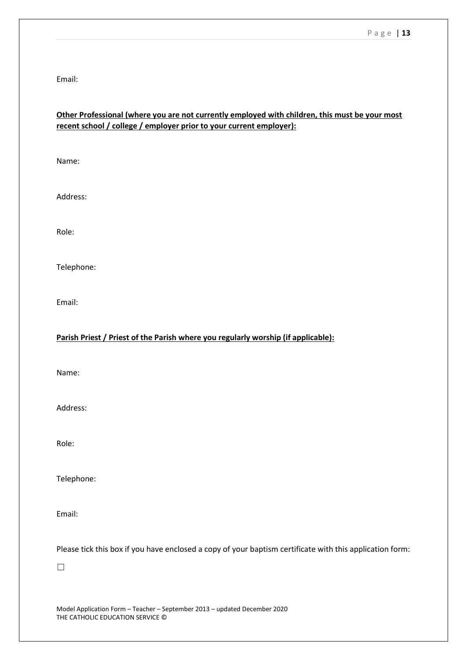Email:

### **Other Professional (where you are not currently employed with children, this must be your most recent school / college / employer prior to your current employer):**

Name:

Address:

Role:

Telephone:

Email:

#### **Parish Priest / Priest of the Parish where you regularly worship (if applicable):**

Name:

Address:

Role:

Telephone:

Email:

Please tick this box if you have enclosed a copy of your baptism certificate with this application form:

 $\Box$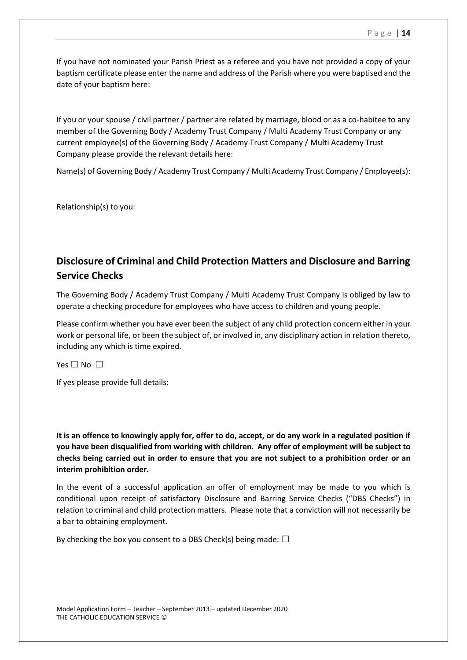If you have not nominated your Parish Priest as a referee and you have not provided a copy of your baptism certificate please enter the name and address of the Parish where you were baptised and the date of your baptism here:

If you or your spouse / civil partner / partner are related by marriage, blood or as a co-habitee to any member of the Governing Body / Academy Trust Company / Multi Academy Trust Company or any current employee(s) of the Governing Body / Academy Trust Company / Multi Academy Trust Company please provide the relevant details here:

Name(s) of Governing Body / Academy Trust Company / Multi Academy Trust Company / Employee(s):

Relationship(s) to you:

# **Disclosure of Criminal and Child Protection Matters and Disclosure and Barring Service Checks**

The Governing Body / Academy Trust Company / Multi Academy Trust Company is obliged by law to operate a checking procedure for employees who have access to children and young people.

Please confirm whether you have ever been the subject of any child protection concern either in your work or personal life, or been the subject of, or involved in, any disciplinary action in relation thereto, including any which is time expired.

Yes □ No □

If yes please provide full details:

**It is an offence to knowingly apply for, offer to do, accept, or do any work in a regulated position if you have been disqualified from working with children. Any offer of employment will be subject to checks being carried out in order to ensure that you are not subject to a prohibition order or an interim prohibition order.**

In the event of a successful application an offer of employment may be made to you which is conditional upon receipt of satisfactory Disclosure and Barring Service Checks ("DBS Checks") in relation to criminal and child protection matters. Please note that a conviction will not necessarily be a bar to obtaining employment.

By checking the box you consent to a DBS Check(s) being made:  $\Box$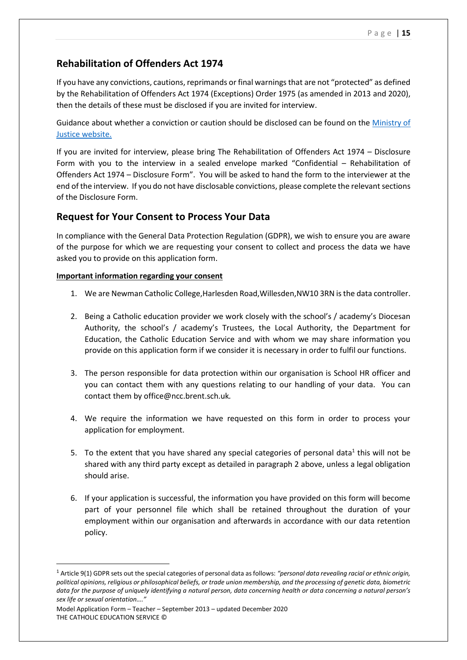# **Rehabilitation of Offenders Act 1974**

If you have any convictions, cautions, reprimands or final warnings that are not "protected" as defined by the Rehabilitation of Offenders Act 1974 (Exceptions) Order 1975 (as amended in 2013 and 2020), then the details of these must be disclosed if you are invited for interview.

Guidance about whether a conviction or caution should be disclosed can be found on the [Ministry of](https://www.gov.uk/government/publications/new-guidance-on-the-rehabilitation-of-offenders-act-1974)  [Justice website.](https://www.gov.uk/government/publications/new-guidance-on-the-rehabilitation-of-offenders-act-1974)

If you are invited for interview, please bring The Rehabilitation of Offenders Act 1974 – Disclosure Form with you to the interview in a sealed envelope marked "Confidential – Rehabilitation of Offenders Act 1974 – Disclosure Form". You will be asked to hand the form to the interviewer at the end of the interview. If you do not have disclosable convictions, please complete the relevant sections of the Disclosure Form.

# **Request for Your Consent to Process Your Data**

In compliance with the General Data Protection Regulation (GDPR), we wish to ensure you are aware of the purpose for which we are requesting your consent to collect and process the data we have asked you to provide on this application form.

#### **Important information regarding your consent**

- 1. We are Newman Catholic College,Harlesden Road,Willesden,NW10 3RN is the data controller.
- 2. Being a Catholic education provider we work closely with the school's / academy's Diocesan Authority, the school's / academy's Trustees, the Local Authority, the Department for Education, the Catholic Education Service and with whom we may share information you provide on this application form if we consider it is necessary in order to fulfil our functions.
- 3. The person responsible for data protection within our organisation is School HR officer and you can contact them with any questions relating to our handling of your data. You can contact them by office@ncc.brent.sch.uk*.*
- 4. We require the information we have requested on this form in order to process your application for employment.
- 5. To the extent that you have shared any special categories of personal data<sup>1</sup> this will not be shared with any third party except as detailed in paragraph 2 above, unless a legal obligation should arise.
- 6. If your application is successful, the information you have provided on this form will become part of your personnel file which shall be retained throughout the duration of your employment within our organisation and afterwards in accordance with our data retention policy.

**.** 

<sup>1</sup> Article 9(1) GDPR sets out the special categories of personal data as follows: *"personal data revealing racial or ethnic origin, political opinions, religious or philosophical beliefs, or trade union membership, and the processing of genetic data, biometric data for the purpose of uniquely identifying a natural person, data concerning health or data concerning a natural person's sex life or sexual orientation…."*

Model Application Form – Teacher – September 2013 – updated December 2020 THE CATHOLIC EDUCATION SERVICE ©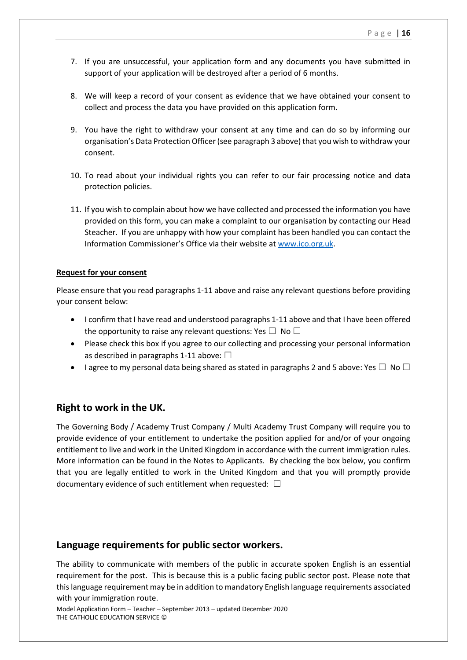- 7. If you are unsuccessful, your application form and any documents you have submitted in support of your application will be destroyed after a period of 6 months.
- 8. We will keep a record of your consent as evidence that we have obtained your consent to collect and process the data you have provided on this application form.
- 9. You have the right to withdraw your consent at any time and can do so by informing our organisation's Data Protection Officer (see paragraph 3 above) that you wish to withdraw your consent.
- 10. To read about your individual rights you can refer to our fair processing notice and data protection policies.
- 11. If you wish to complain about how we have collected and processed the information you have provided on this form, you can make a complaint to our organisation by contacting our Head Steacher. If you are unhappy with how your complaint has been handled you can contact the Information Commissioner's Office via their website at [www.ico.org.uk.](http://www.ico.org.uk/)

#### **Request for your consent**

Please ensure that you read paragraphs 1-11 above and raise any relevant questions before providing your consent below:

- I confirm that I have read and understood paragraphs 1-11 above and that I have been offered the opportunity to raise any relevant questions: Yes  $\Box$  No  $\Box$
- Please check this box if you agree to our collecting and processing your personal information as described in paragraphs 1-11 above:  $\Box$
- I agree to my personal data being shared as stated in paragraphs 2 and 5 above: Yes  $\Box$  No  $\Box$

#### **Right to work in the UK.**

The Governing Body / Academy Trust Company / Multi Academy Trust Company will require you to provide evidence of your entitlement to undertake the position applied for and/or of your ongoing entitlement to live and work in the United Kingdom in accordance with the current immigration rules. More information can be found in the Notes to Applicants. By checking the box below, you confirm that you are legally entitled to work in the United Kingdom and that you will promptly provide documentary evidence of such entitlement when requested:  $\Box$ 

#### **Language requirements for public sector workers.**

The ability to communicate with members of the public in accurate spoken English is an essential requirement for the post. This is because this is a public facing public sector post. Please note that this language requirement may be in addition to mandatory English language requirements associated with your immigration route.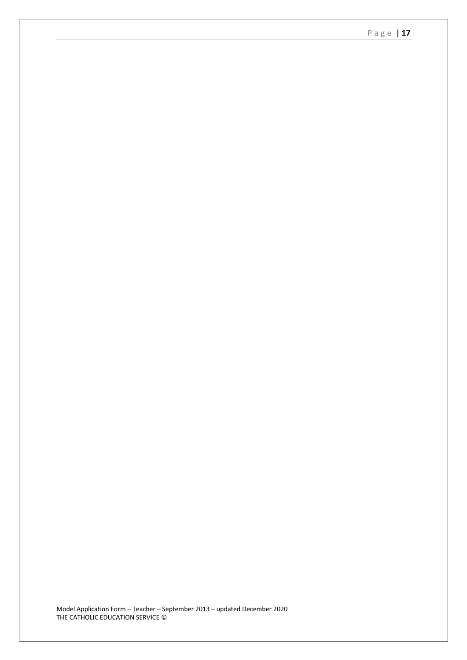# P a g e | **17**